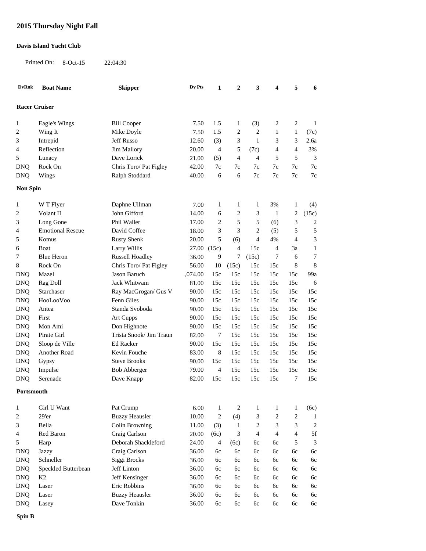## **2015 Thursday Night Fall**

## **Davis Island Yacht Club**

Printed On: 8-Oct-15 22:04:30

| <b>DvRnk</b>         | <b>Boat Name</b>        | <b>Skipper</b>          | Dv Pts      | $\mathbf{1}$   | $\boldsymbol{2}$ | 3                           | 4              | 5              | 6                       |
|----------------------|-------------------------|-------------------------|-------------|----------------|------------------|-----------------------------|----------------|----------------|-------------------------|
| <b>Racer Cruiser</b> |                         |                         |             |                |                  |                             |                |                |                         |
| $\mathbf{1}$         | Eagle's Wings           | <b>Bill Cooper</b>      | 7.50        | 1.5            | 1                | (3)                         | $\overline{c}$ | $\overline{c}$ | $\mathbf{1}$            |
| 2                    | Wing It                 | Mike Doyle              | 7.50        | 1.5            | $\overline{c}$   | $\overline{c}$              | 1              | $\mathbf{1}$   | (7c)                    |
| 3                    | Intrepid                | Jeff Russo              | 12.60       | (3)            | 3                | $\mathbf{1}$                | 3              | 3              | 2.6a                    |
| 4                    | Reflection              | Jim Mallory             | 20.00       | $\overline{4}$ | 5                | (7c)                        | 4              | $\overline{4}$ | 3%                      |
| 5                    | Lunacy                  | Dave Lorick             | 21.00       | (5)            | $\overline{4}$   | $\overline{4}$              | 5              | 5              | 3                       |
| <b>DNQ</b>           | Rock On                 | Chris Toro/ Pat Figley  | 42.00       | 7c             | 7c               | 7c                          | 7c             | 7c             | $7\mathrm{c}$           |
| <b>DNQ</b>           | Wings                   | Ralph Stoddard          | 40.00       | 6              | 6                | $7\mathrm{c}$               | $7\mathrm{c}$  | $7c$           | $7\mathrm{c}$           |
| <b>Non Spin</b>      |                         |                         |             |                |                  |                             |                |                |                         |
| $\mathbf{1}$         | W T Flyer               | Daphne Ullman           | 7.00        | $\mathbf{1}$   | 1                | 1                           | 3%             | 1              | (4)                     |
| 2                    | Volant II               | John Gifford            | 14.00       | 6              | $\overline{c}$   | 3                           | -1             | 2              | (15c)                   |
| 3                    | Long Gone               | Phil Waller             | 17.00       | $\mathfrak{2}$ | 5                | 5                           | (6)            | 3              | $\overline{\mathbf{c}}$ |
| 4                    | <b>Emotional Rescue</b> | David Coffee            | 18.00       | 3              | 3                | $\overline{2}$              | (5)            | 5              | 5                       |
| 5                    | Komus                   | <b>Rusty Shenk</b>      | 20.00       | 5              | (6)              | $\overline{4}$              | 4%             | $\overline{4}$ | 3                       |
| 6                    | Boat                    | Larry Willis            | 27.00 (15c) |                | $\overline{4}$   | 15c                         | $\overline{4}$ | 3a             | $\mathbf{1}$            |
| 7                    | <b>Blue Heron</b>       | <b>Russell Hoadley</b>  | 36.00       | 9              | $\tau$           | (15c)                       | 7              | 6              | 7                       |
| 8                    | Rock On                 | Chris Toro/ Pat Figley  | 56.00       | 10             | (15c)            | 15c                         | 15c            | 8              | 8                       |
| <b>DNQ</b>           | Mazel                   | Jason Baruch            | ,074.00     | 15c            | 15c              | 15c                         | 15c            | 15c            | 99a                     |
| <b>DNQ</b>           | Rag Doll                | Jack Whitwam            | 81.00       | 15c            | 15c              | 15c                         | 15c            | 15c            | 6                       |
| <b>DNQ</b>           | Starchaser              | Ray MacGrogan/ Gus V    | 90.00       | 15c            | 15c              | 15c                         | 15c            | 15c            | 15c                     |
| <b>DNQ</b>           | HooLooVoo               | Fenn Giles              | 90.00       | 15c            | 15c              | 15c                         | 15c            | 15c            | 15c                     |
| <b>DNQ</b>           | Antea                   | Standa Svoboda          | 90.00       | 15c            | 15c              | 15c                         | 15c            | 15c            | 15c                     |
| <b>DNQ</b>           | First                   | Art Cupps               | 90.00       | 15c            | 15c              | 15c                         | 15c            | 15c            | 15c                     |
| <b>DNQ</b>           | Mon Ami                 | Don Highnote            | 90.00       | 15c            | 15c              | 15c                         | 15c            | 15c            | 15c                     |
| <b>DNQ</b>           | Pirate Girl             | Trista Snook/ Jim Traun | 82.00       | 7              | 15c              | 15c                         | 15c            | 15c            | 15c                     |
| <b>DNQ</b>           | Sloop de Ville          | Ed Racker               | 90.00       | 15c            | 15c              | 15c                         | 15c            | 15c            | 15c                     |
| <b>DNQ</b>           | Another Road            | Kevin Fouche            | 83.00       | 8              | 15c              | 15c                         | 15c            | 15c            | 15c                     |
| <b>DNQ</b>           | Gypsy                   | <b>Steve Brooks</b>     | 90.00       | 15c            | 15c              | 15c                         | 15c            | 15c            | 15c                     |
| <b>DNQ</b>           | Impulse                 | <b>Bob Abberger</b>     | 79.00       | $\overline{4}$ | 15c              | 15c                         | 15c            | 15c            | 15c                     |
| <b>DNQ</b>           | Serenade                | Dave Knapp              | 82.00       | 15c            | 15c              | 15c                         | 15c            | $\tau$         | 15c                     |
| Portsmouth           |                         |                         |             |                |                  |                             |                |                |                         |
| $\mathbf{1}$         | Girl U Want             | Pat Crump               | 6.00        | $\mathbf{1}$   | $\sqrt{2}$       | $\mathbf{1}$                | 1              | $\mathbf{1}$   | (6c)                    |
| 2                    | 29'er                   | <b>Buzzy Heausler</b>   | 10.00       | $\sqrt{2}$     | (4)              | $\ensuremath{\mathfrak{Z}}$ | $\overline{2}$ | $\overline{2}$ | $\mathbf{1}$            |
| 3                    | Bella                   | Colin Browning          | 11.00       | (3)            | $\mathbf{1}$     | $\overline{c}$              | 3              | $\mathfrak 3$  | $\overline{c}$          |
| 4                    | Red Baron               | Craig Carlson           | 20.00       | (6c)           | 3                | $\overline{4}$              | $\overline{4}$ | $\overline{4}$ | 5f                      |
| 5                    | Harp                    | Deborah Shackleford     | 24.00       | 4              | (6c)             | 6с                          | 6c             | 5              | 3                       |
| <b>DNQ</b>           | Jazzy                   | Craig Carlson           | 36.00       | 6c             | 6c               | 6c                          | 6c             | 6c             | 6c                      |
| <b>DNQ</b>           | Schneller               | Siggi Brocks            | 36.00       | 6c             | 6c               | 6с                          | 6c             | 6c             | 6c                      |
| <b>DNQ</b>           | Speckled Butterbean     | Jeff Linton             | 36.00       | 6c             | 6c               | 6с                          | 6c             | 6c             | 6c                      |
| <b>DNQ</b>           | K2                      | Jeff Kensinger          | 36.00       | 6c             | 6c               | 6с                          | 6c             | 6c             | 6c                      |
| <b>DNQ</b>           | Laser                   | Eric Robbins            | 36.00       | 6c             | 6c               | 6с                          | 6c             | 6c             | 6c                      |
| <b>DNQ</b>           | Laser                   | <b>Buzzy Heausler</b>   | 36.00       | 6c             | 6c               | 6с                          | 6c             | 6c             | 6c                      |
| <b>DNQ</b>           | Lasey                   | Dave Tonkin             | 36.00       | 6c             | 6c               | 6c                          | 6c             | 6c             | 6c                      |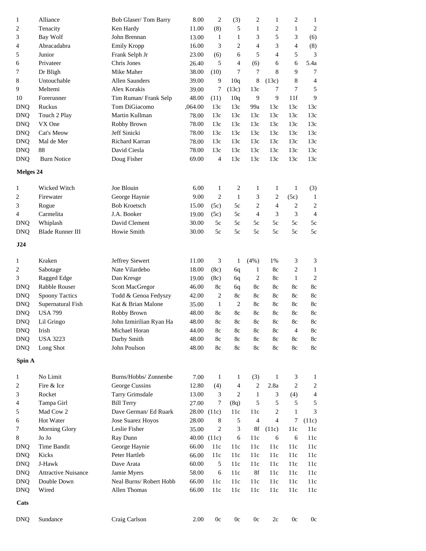| $\mathbf{1}$                       | Alliance                   | Bob Glaser/Tom Barry     | 8.00    | $\overline{c}$ | (3)            | 2              | 1              | $\overline{c}$ | 1                       |
|------------------------------------|----------------------------|--------------------------|---------|----------------|----------------|----------------|----------------|----------------|-------------------------|
| 2                                  | Tenacity                   | Ken Hardy                | 11.00   | (8)            | 5              | 1              | $\overline{c}$ | $\mathbf{1}$   | $\overline{c}$          |
| 3                                  | Bay Wolf                   | John Brennan             | 13.00   | $\mathbf{1}$   | 1              | 3              | 5              | 3              | (6)                     |
| 4                                  | Abracadabra                | Emily Kropp              | 16.00   | 3              | 2              | $\overline{4}$ | 3              | 4              | (8)                     |
| 5                                  | Junior                     | Frank Selph Jr           | 23.00   | (6)            | 6              | 5              | $\overline{4}$ | 5              | 3                       |
| 6                                  | Privateer                  | Chris Jones              | 26.40   | 5              | 4              | (6)            | 6              | 6              | 5.4a                    |
| 7                                  | Dr Bligh                   | Mike Maher               | 38.00   | (10)           | 7              | 7              | 8              | 9              | 7                       |
| 8                                  | Untouchable                | Allen Saunders           | 39.00   | 9              | 10q            | 8              | (13c)          | 8              | 4                       |
| 9                                  | Meltemi                    | Alex Korakis             | 39.00   | 7              | (13c)          | 13c            | 7              | 7              | 5                       |
| 10                                 | Forerunner                 | Tim Ruman/Frank Selp     | 48.00   | (11)           | 10q            | 9              | 9              | 11f            | 9                       |
| <b>DNQ</b>                         | Ruckus                     | Tom DiGiacomo            | ,064.00 | 13c            | 13c            | 99a            | 13c            | 13c            | 13c                     |
| <b>DNQ</b>                         | Touch 2 Play               | Martin Kullman           | 78.00   | 13c            | 13c            | 13c            | 13c            | 13c            | 13c                     |
| <b>DNQ</b>                         | VX One                     | Robby Brown              | 78.00   | 13c            | 13c            | 13c            | 13c            | 13c            | 13c                     |
| <b>DNQ</b>                         | Cat's Meow                 | Jeff Sinicki             | 78.00   | 13c            | 13c            | 13c            | 13c            | 13c            | 13c                     |
| <b>DNQ</b>                         | Mal de Mer                 | Richard Karran           | 78.00   | 13c            | 13c            | 13c            | 13c            | 13c            | 13c                     |
| <b>DNQ</b>                         | 88                         | David Ciesla             | 78.00   | 13c            | 13c            | 13c            | 13c            | 13c            | 13c                     |
| <b>DNQ</b>                         | <b>Burn Notice</b>         | Doug Fisher              | 69.00   | $\overline{4}$ | 13c            | 13c            | 13c            | 13c            | 13c                     |
|                                    |                            |                          |         |                |                |                |                |                |                         |
| Melges 24                          |                            |                          |         |                |                |                |                |                |                         |
| 1                                  | Wicked Witch               | Joe Blouin               | 6.00    | $\mathbf{1}$   | 2              | 1              | 1              | 1              | (3)                     |
| 2                                  | Firewater                  | George Haynie            | 9.00    | $\overline{c}$ | $\mathbf{1}$   | 3              | 2              | (5c)           | 1                       |
| 3                                  | Rogue                      | <b>Bob Kroetsch</b>      | 15.00   | (5c)           | 5c             | 2              | 4              | $\overline{c}$ | $\overline{\mathbf{c}}$ |
| 4                                  | Carmelita                  | J.A. Booker              | 19.00   | (5c)           | 5c             | $\overline{4}$ | 3              | 3              | $\overline{4}$          |
| <b>DNQ</b>                         | Whiplash                   | David Clement            | 30.00   | 5c             | 5c             | 5c             | 5c             | 5c             | 5c                      |
| <b>DNQ</b>                         | <b>Blade Runner III</b>    | Howie Smith              | 30.00   | 5c             | 5c             | 5c             | 5c             | 5c             | 5c                      |
| J24                                |                            |                          |         |                |                |                |                |                |                         |
|                                    |                            |                          |         |                |                |                |                |                |                         |
| 1                                  | Kraken                     | Jeffrey Siewert          | 11.00   | 3              | $\mathbf{1}$   | (4%)           | 1%             | 3              | 3                       |
| 2                                  | Sabotage                   | Nate Vilardebo           | 18.00   | (8c)           | 6q             | $\mathbf{1}$   | 8c             | $\overline{c}$ | $\mathbf{1}$            |
| 3                                  | Ragged Edge                | Dan Kresge               | 19.00   | (8c)           | 6q             | 2              | 8c             | $\mathbf{1}$   | $\overline{2}$          |
| <b>DNQ</b>                         | Rabble Rouser              | <b>Scott MacGregor</b>   | 46.00   | 8c             | 6q             | 8c             | 8c             | 8c             | 8c                      |
| <b>DNQ</b>                         | <b>Spoony Tactics</b>      | Todd & Genoa Fedyszy     | 42.00   | $\overline{c}$ | 8c             | 8c             | 8c             | 8c             | 8c                      |
| <b>DNQ</b>                         | Supernatural Fish          | Kat & Brian Malone       | 35.00   | 1              | $\overline{c}$ | 8c             | 8c             | 8c             | 8c                      |
| <b>DNQ</b>                         | <b>USA 799</b>             | Robby Brown              | 48.00   | 8c             | 8c             | 8c             | 8c             | 8c             | 8c                      |
| <b>DNQ</b>                         | Lil Gringo                 | John Izmirilian Ryan Ha  | 48.00   | 8c             | 8c             | 8c             | 8c             | 8c             | 8c                      |
| <b>DNQ</b>                         | Irish                      | Michael Horan            | 44.00   | 8c             | 8c             | 8c             | 8c             | 4              | 8c                      |
| <b>DNQ</b>                         | <b>USA 3223</b>            | Darby Smith              | 48.00   | 8c             | 8c             | 8c             | 8c             | 8c             | 8c                      |
| <b>DNQ</b>                         | Long Shot                  | John Poulson             | 48.00   | 8c             | 8c             | 8c             | 8c             | 8c             | 8c                      |
| Spin A                             |                            |                          |         |                |                |                |                |                |                         |
| 1                                  | No Limit                   | Burns/Hobbs/ Zonnenbe    | 7.00    | $\mathbf{1}$   | 1              | (3)            | $\mathbf{1}$   | 3              | 1                       |
| 2                                  | Fire & Ice                 | George Cussins           | 12.80   | (4)            | 4              | $\overline{c}$ | 2.8a           | $\overline{c}$ | $\overline{\mathbf{c}}$ |
| 3                                  | Rocket                     | Tarry Grimsdale          | 13.00   | 3              | $\overline{c}$ | $\mathbf{1}$   | 3              | (4)            | 4                       |
| 4                                  | Tampa Girl                 | <b>Bill Terry</b>        | 27.00   | 7              | (8q)           | 5              | 5              | 5              | 5                       |
| 5                                  | Mad Cow 2                  | Dave German/ Ed Ruark    | 28.00   | (11c)          | 11c            | 11c            | 2              | $\mathbf{1}$   | 3                       |
| 6                                  | Hot Water                  | <b>Jose Suarez Hoyos</b> | 28.00   | 8              | 5              | $\overline{4}$ | 4              | 7              | (11c)                   |
| 7                                  | Morning Glory              | Leslie Fisher            | 35.00   | 2              | 3              | 8f             | (11c)          | 11c            | 11c                     |
| 8                                  | Jo Jo                      | Ray Dunn                 | 40.00   | (11c)          | 6              | 11c            | 6              | 6              | 11c                     |
| $\mathbf{D} \mathbf{N} \mathbf{Q}$ | Time Bandit                | George Haynie            | 66.00   | 11c            | 11c            | 11c            | 11c            | 11c            | 11c                     |
| <b>DNQ</b>                         | Kicks                      | Peter Hartleb            | 66.00   | 11c            | 11c            | 11c            | 11c            | 11c            | 11c                     |
| <b>DNQ</b>                         | J-Hawk                     | Dave Arata               | 60.00   | 5              | 11c            | 11c            | 11c            | 11c            | 11c                     |
| <b>DNQ</b>                         | <b>Attractive Nuisance</b> | Jamie Myers              | 58.00   | 6              | 11c            | 8f             | 11c            | 11c            | 11c                     |
| <b>DNQ</b>                         | Double Down                | Neal Burns/ Robert Hobb  | 66.00   | 11c            | 11c            | 11c            | 11c            | 11c            | 11c                     |
| <b>DNQ</b>                         | Wired                      | Allen Thomas             | 66.00   | 11c            | 11c            | 11c            | 11c            | 11c            | 11c                     |
| Cats                               |                            |                          |         |                |                |                |                |                |                         |
|                                    |                            |                          |         |                |                |                |                |                |                         |
| <b>DNQ</b>                         | Sundance                   | Craig Carlson            | 2.00    | 0c             | 0c             | $0\mathrm{c}$  | 2c             | 0c             | 0c                      |